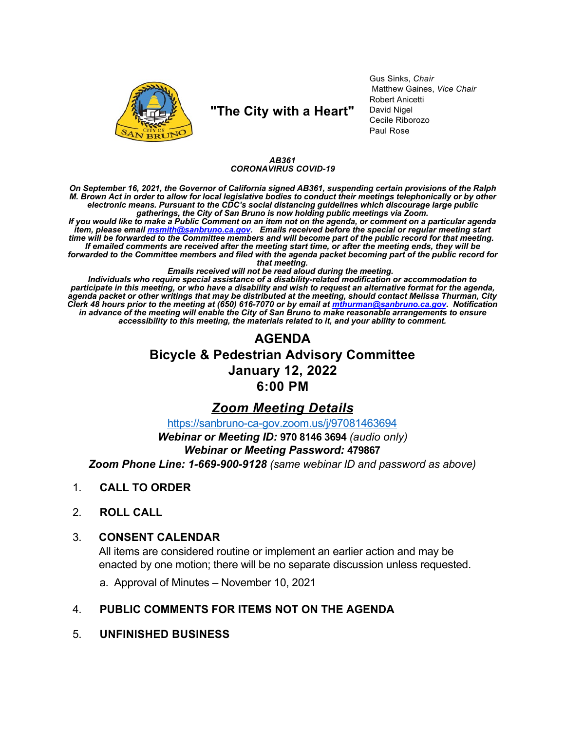

## "The City with a Heart"

Gus Sinks, Chair Matthew Gaines, Vice Chair Robert Anicetti David Nigel Cecile Riborozo Paul Rose

### AB361 **CORONAVIRUS COVID-19**

On September 16, 2021, the Governor of California signed AB361, suspending certain provisions of the Ralph<br>M. Brown Act in order to allow for local legislative bodies to conduct their meetings telephonically or by other electronic means. Pursuant to the CDC's social distancing guidelines which discourage large public<br>electronic means. Pursuant to the CDC's social distancing guidelines which discourage large public<br>If you would like to mak

item, please email msmith@sanbruno.ca.gov. Emails received before the special or regular meeting start<br>time will be forwarded to the Committee members and will become part of the public record for that meeting. If emailed comments are received after the meeting start time, or after the meeting ends, they will be forwarded to the Committee members and filed with the agenda packet becoming part of the public record for that meeting.

that meeting.<br>Individuals who require special assistance of a disability-related modification or accommodation to<br>participate in this meeting, or who have a disability and wish to request an alternative format for the agen in advance of the meeting will enable the City of San Bruno to make reasonable arrangements to ensure accessibility to this meeting, the materials related to it, and your ability to comment.

# **AGENDA Bicycle & Pedestrian Advisory Committee January 12, 2022** 6:00 PM

### **Zoom Meeting Details**

https://sanbruno-ca-gov.zoom.us/j/97081463694

Webinar or Meeting ID: 970 8146 3694 (audio only)

### **Webinar or Meeting Password: 479867**

Zoom Phone Line: 1-669-900-9128 (same webinar ID and password as above)

- $1<sub>1</sub>$ **CALL TO ORDER**
- $2<sub>1</sub>$ **ROLL CALL**

#### $3_{-}$ **CONSENT CALENDAR**

All items are considered routine or implement an earlier action and may be enacted by one motion; there will be no separate discussion unless requested.

a. Approval of Minutes – November 10, 2021

#### $\overline{4}$ PUBLIC COMMENTS FOR ITEMS NOT ON THE AGENDA

 $5<sub>1</sub>$ **UNFINISHED BUSINESS**